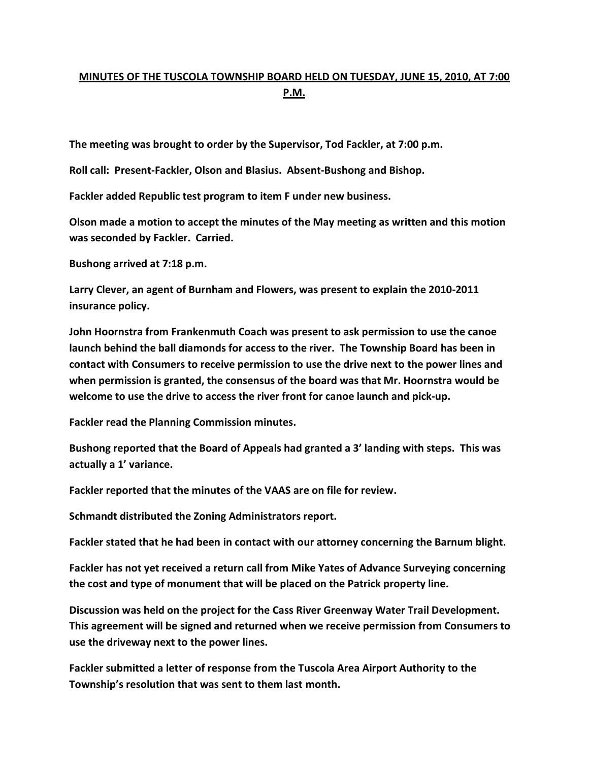## **MINUTES OF THE TUSCOLA TOWNSHIP BOARD HELD ON TUESDAY, JUNE 15, 2010, AT 7:00 P.M.**

**The meeting was brought to order by the Supervisor, Tod Fackler, at 7:00 p.m.** 

**Roll call: Present-Fackler, Olson and Blasius. Absent-Bushong and Bishop.** 

**Fackler added Republic test program to item F under new business.** 

**Olson made a motion to accept the minutes of the May meeting as written and this motion was seconded by Fackler. Carried.** 

**Bushong arrived at 7:18 p.m.** 

**Larry Clever, an agent of Burnham and Flowers, was present to explain the 2010-2011 insurance policy.** 

**John Hoornstra from Frankenmuth Coach was present to ask permission to use the canoe launch behind the ball diamonds for access to the river. The Township Board has been in contact with Consumers to receive permission to use the drive next to the power lines and when permission is granted, the consensus of the board was that Mr. Hoornstra would be welcome to use the drive to access the river front for canoe launch and pick-up.** 

**Fackler read the Planning Commission minutes.** 

**Bushong reported that the Board of Appeals had granted a 3' landing with steps. This was actually a 1' variance.** 

**Fackler reported that the minutes of the VAAS are on file for review.** 

**Schmandt distributed the Zoning Administrators report.** 

**Fackler stated that he had been in contact with our attorney concerning the Barnum blight.** 

**Fackler has not yet received a return call from Mike Yates of Advance Surveying concerning the cost and type of monument that will be placed on the Patrick property line.** 

**Discussion was held on the project for the Cass River Greenway Water Trail Development. This agreement will be signed and returned when we receive permission from Consumers to use the driveway next to the power lines.** 

**Fackler submitted a letter of response from the Tuscola Area Airport Authority to the Township's resolution that was sent to them last month.**